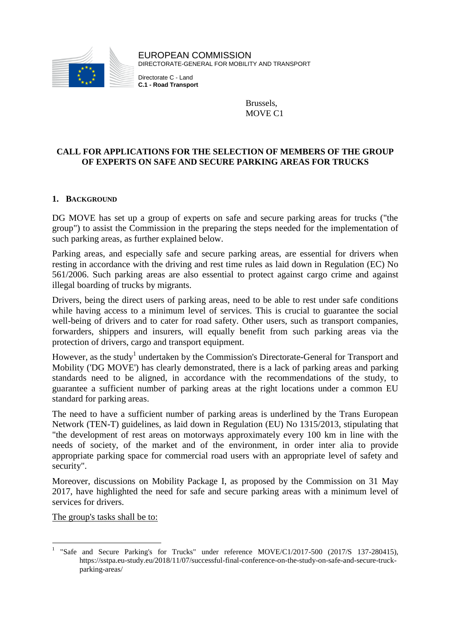

EUROPEAN COMMISSION DIRECTORATE-GENERAL FOR MOBILITY AND TRANSPORT

Directorate C - Land **C.1 - Road Transport**

> Brussels, MOVE C1

## **CALL FOR APPLICATIONS FOR THE SELECTION OF MEMBERS OF THE GROUP OF EXPERTS ON SAFE AND SECURE PARKING AREAS FOR TRUCKS**

#### **1. BACKGROUND**

DG MOVE has set up a group of experts on safe and secure parking areas for trucks ("the group") to assist the Commission in the preparing the steps needed for the implementation of such parking areas, as further explained below.

Parking areas, and especially safe and secure parking areas, are essential for drivers when resting in accordance with the driving and rest time rules as laid down in Regulation (EC) No 561/2006. Such parking areas are also essential to protect against cargo crime and against illegal boarding of trucks by migrants.

Drivers, being the direct users of parking areas, need to be able to rest under safe conditions while having access to a minimum level of services. This is crucial to guarantee the social well-being of drivers and to cater for road safety. Other users, such as transport companies, forwarders, shippers and insurers, will equally benefit from such parking areas via the protection of drivers, cargo and transport equipment.

However, as the study<sup>1</sup> undertaken by the Commission's Directorate-General for Transport and Mobility ('DG MOVE') has clearly demonstrated, there is a lack of parking areas and parking standards need to be aligned, in accordance with the recommendations of the study, to guarantee a sufficient number of parking areas at the right locations under a common EU standard for parking areas.

The need to have a sufficient number of parking areas is underlined by the Trans European Network (TEN-T) guidelines, as laid down in Regulation (EU) No 1315/2013, stipulating that "the development of rest areas on motorways approximately every 100 km in line with the needs of society, of the market and of the environment, in order inter alia to provide appropriate parking space for commercial road users with an appropriate level of safety and security".

Moreover, discussions on Mobility Package I, as proposed by the Commission on 31 May 2017, have highlighted the need for safe and secure parking areas with a minimum level of services for drivers.

The group's tasks shall be to:

 1 "Safe and Secure Parking's for Trucks" under reference MOVE/C1/2017-500 (2017/S 137-280415), https://sstpa.eu-study.eu/2018/11/07/successful-final-conference-on-the-study-on-safe-and-secure-truckparking-areas/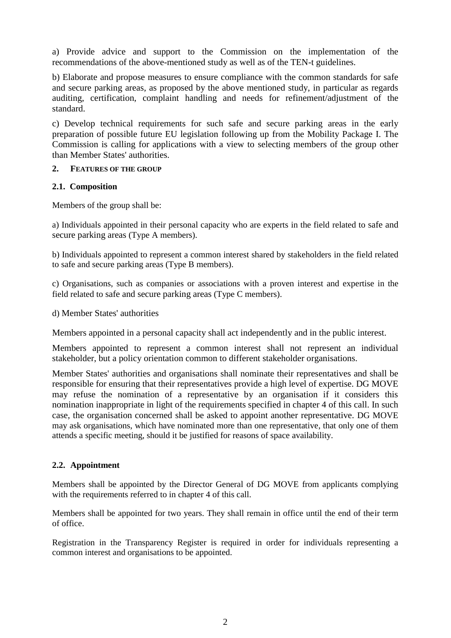a) Provide advice and support to the Commission on the implementation of the recommendations of the above-mentioned study as well as of the TEN-t guidelines.

b) Elaborate and propose measures to ensure compliance with the common standards for safe and secure parking areas, as proposed by the above mentioned study, in particular as regards auditing, certification, complaint handling and needs for refinement/adjustment of the standard.

c) Develop technical requirements for such safe and secure parking areas in the early preparation of possible future EU legislation following up from the Mobility Package I. The Commission is calling for applications with a view to selecting members of the group other than Member States' authorities.

#### **2. FEATURES OF THE GROUP**

#### **2.1. Composition**

Members of the group shall be:

a) Individuals appointed in their personal capacity who are experts in the field related to safe and secure parking areas (Type A members).

b) Individuals appointed to represent a common interest shared by stakeholders in the field related to safe and secure parking areas (Type B members).

c) Organisations, such as companies or associations with a proven interest and expertise in the field related to safe and secure parking areas (Type C members).

d) Member States' authorities

Members appointed in a personal capacity shall act independently and in the public interest.

Members appointed to represent a common interest shall not represent an individual stakeholder, but a policy orientation common to different stakeholder organisations.

Member States' authorities and organisations shall nominate their representatives and shall be responsible for ensuring that their representatives provide a high level of expertise. DG MOVE may refuse the nomination of a representative by an organisation if it considers this nomination inappropriate in light of the requirements specified in chapter 4 of this call. In such case, the organisation concerned shall be asked to appoint another representative. DG MOVE may ask organisations, which have nominated more than one representative, that only one of them attends a specific meeting, should it be justified for reasons of space availability.

# **2.2. Appointment**

Members shall be appointed by the Director General of DG MOVE from applicants complying with the requirements referred to in chapter 4 of this call.

Members shall be appointed for two years. They shall remain in office until the end of their term of office.

Registration in the Transparency Register is required in order for individuals representing a common interest and organisations to be appointed.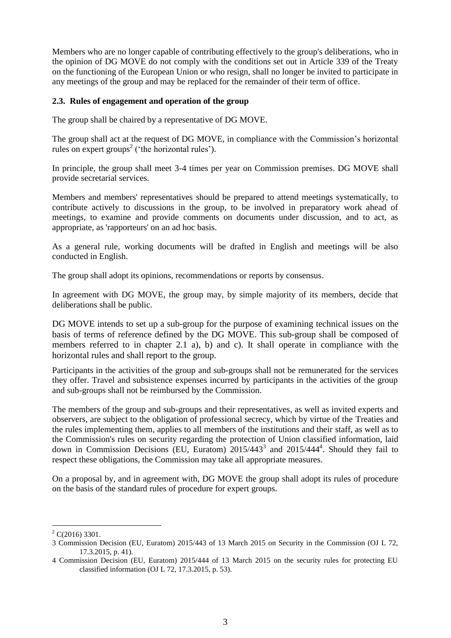Members who are no longer capable of contributing effectively to the group's deliberations, who in the opinion of DG MOVE do not comply with the conditions set out in Article 339 of the Treaty on the functioning of the European Union or who resign, shall no longer be invited to participate in any meetings of the group and may be replaced for the remainder of their term of office.

#### **2.3. Rules of engagement and operation of the group**

The group shall be chaired by a representative of DG MOVE.

The group shall act at the request of DG MOVE, in compliance with the Commission's horizontal rules on expert groups<sup>2</sup> ('the horizontal rules').

In principle, the group shall meet 3-4 times per year on Commission premises. DG MOVE shall provide secretarial services.

Members and members' representatives should be prepared to attend meetings systematically, to contribute actively to discussions in the group, to be involved in preparatory work ahead of meetings, to examine and provide comments on documents under discussion, and to act, as appropriate, as 'rapporteurs' on an ad hoc basis.

As a general rule, working documents will be drafted in English and meetings will be also conducted in English.

The group shall adopt its opinions, recommendations or reports by consensus.

In agreement with DG MOVE, the group may, by simple majority of its members, decide that deliberations shall be public.

DG MOVE intends to set up a sub-group for the purpose of examining technical issues on the basis of terms of reference defined by the DG MOVE. This sub-group shall be composed of members referred to in chapter 2.1 a), b) and c). It shall operate in compliance with the horizontal rules and shall report to the group.

Participants in the activities of the group and sub-groups shall not be remunerated for the services they offer. Travel and subsistence expenses incurred by participants in the activities of the group and sub-groups shall not be reimbursed by the Commission.

The members of the group and sub-groups and their representatives, as well as invited experts and observers, are subject to the obligation of professional secrecy, which by virtue of the Treaties and the rules implementing them, applies to all members of the institutions and their staff, as well as to the Commission's rules on security regarding the protection of Union classified information, laid down in Commission Decisions (EU, Euratom)  $2015/443<sup>3</sup>$  and  $2015/444<sup>4</sup>$ . Should they fail to respect these obligations, the Commission may take all appropriate measures.

On a proposal by, and in agreement with, DG MOVE the group shall adopt its rules of procedure on the basis of the standard rules of procedure for expert groups.

 $\overline{a}$  $2^2$  C(2016) 3301.

<sup>3</sup> Commission Decision (EU, Euratom) 2015/443 of 13 March 2015 on Security in the Commission (OJ L 72, 17.3.2015, p. 41).

<sup>4</sup> Commission Decision (EU, Euratom) 2015/444 of 13 March 2015 on the security rules for protecting EU classified information (OJ L 72, 17.3.2015, p. 53).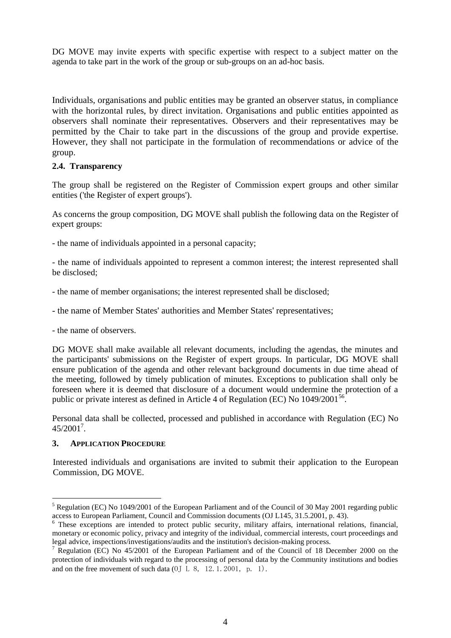DG MOVE may invite experts with specific expertise with respect to a subject matter on the agenda to take part in the work of the group or sub-groups on an ad-hoc basis.

Individuals, organisations and public entities may be granted an observer status, in compliance with the horizontal rules, by direct invitation. Organisations and public entities appointed as observers shall nominate their representatives. Observers and their representatives may be permitted by the Chair to take part in the discussions of the group and provide expertise. However, they shall not participate in the formulation of recommendations or advice of the group.

#### **2.4. Transparency**

The group shall be registered on the Register of Commission expert groups and other similar entities ('the Register of expert groups').

As concerns the group composition, DG MOVE shall publish the following data on the Register of expert groups:

- the name of individuals appointed in a personal capacity;

- the name of individuals appointed to represent a common interest; the interest represented shall be disclosed;

- the name of member organisations; the interest represented shall be disclosed;

- the name of Member States' authorities and Member States' representatives;
- the name of observers.

DG MOVE shall make available all relevant documents, including the agendas, the minutes and the participants' submissions on the Register of expert groups. In particular, DG MOVE shall ensure publication of the agenda and other relevant background documents in due time ahead of the meeting, followed by timely publication of minutes. Exceptions to publication shall only be foreseen where it is deemed that disclosure of a document would undermine the protection of a public or private interest as defined in Article 4 of Regulation (EC) No 1049/2001<sup>56</sup>.

Personal data shall be collected, processed and published in accordance with Regulation (EC) No 45/2001<sup>7</sup> .

#### **3. APPLICATION PROCEDURE**

 $\overline{a}$ 

Interested individuals and organisations are invited to submit their application to the European Commission, DG MOVE.

<sup>5</sup> Regulation (EC) No 1049/2001 of the European Parliament and of the Council of 30 May 2001 regarding public access to European Parliament, Council and Commission documents (OJ L145, 31.5.2001, p. 43).

<sup>&</sup>lt;sup>6</sup> These exceptions are intended to protect public security, military affairs, international relations, financial, monetary or economic policy, privacy and integrity of the individual, commercial interests, court proceedings and legal advice, inspections/investigations/audits and the institution's decision-making process.

<sup>7</sup> Regulation (EC) No 45/2001 of the European Parliament and of the Council of 18 December 2000 on the protection of individuals with regard to the processing of personal data by the Community institutions and bodies and on the free movement of such data (OJ L 8, 12.1.2001, p. 1).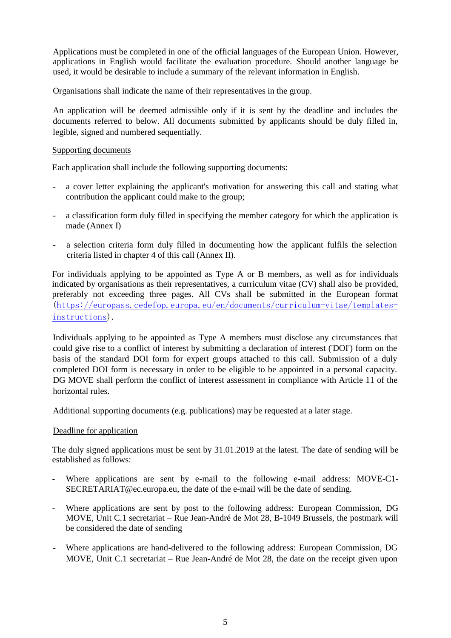Applications must be completed in one of the official languages of the European Union. However, applications in English would facilitate the evaluation procedure. Should another language be used, it would be desirable to include a summary of the relevant information in English.

Organisations shall indicate the name of their representatives in the group.

An application will be deemed admissible only if it is sent by the deadline and includes the documents referred to below. All documents submitted by applicants should be duly filled in, legible, signed and numbered sequentially.

#### Supporting documents

Each application shall include the following supporting documents:

- a cover letter explaining the applicant's motivation for answering this call and stating what contribution the applicant could make to the group;
- a classification form duly filled in specifying the member category for which the application is made (Annex I)
- a selection criteria form duly filled in documenting how the applicant fulfils the selection criteria listed in chapter 4 of this call (Annex II).

For individuals applying to be appointed as Type A or B members, as well as for individuals indicated by organisations as their representatives, a curriculum vitae (CV) shall also be provided, preferably not exceeding three pages. All CVs shall be submitted in the European format [\(https://europass.cedefop.europa.eu/en/documents/curriculum-vitae/templates](https://europass.cedefop.europa.eu/en/documents/curriculum-vitae/templates-instructions)[instructions\)](https://europass.cedefop.europa.eu/en/documents/curriculum-vitae/templates-instructions).

Individuals applying to be appointed as Type A members must disclose any circumstances that could give rise to a conflict of interest by submitting a declaration of interest ('DOI') form on the basis of the standard DOI form for expert groups attached to this call. Submission of a duly completed DOI form is necessary in order to be eligible to be appointed in a personal capacity. DG MOVE shall perform the conflict of interest assessment in compliance with Article 11 of the horizontal rules.

Additional supporting documents (e.g. publications) may be requested at a later stage.

#### Deadline for application

The duly signed applications must be sent by 31.01.2019 at the latest. The date of sending will be established as follows:

- Where applications are sent by e-mail to the following e-mail address: MOVE-C1-SECRETARIAT@ec.europa.eu, the date of the e-mail will be the date of sending.
- Where applications are sent by post to the following address: European Commission, DG MOVE, Unit C.1 secretariat – Rue Jean-André de Mot 28, B-1049 Brussels, the postmark will be considered the date of sending
- Where applications are hand-delivered to the following address: European Commission, DG MOVE, Unit C.1 secretariat – Rue Jean-André de Mot 28, the date on the receipt given upon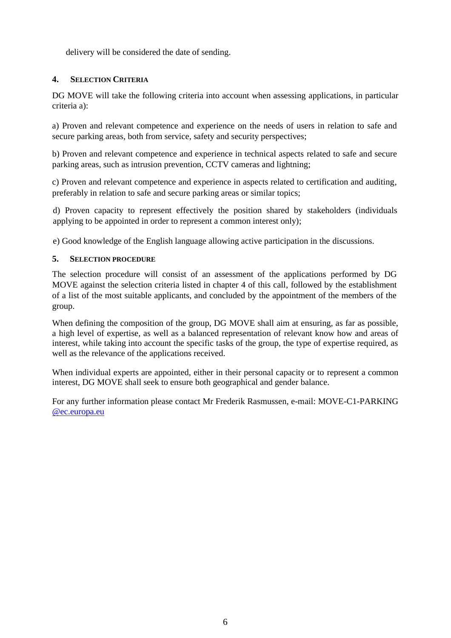delivery will be considered the date of sending.

# **4. SELECTION CRITERIA**

DG MOVE will take the following criteria into account when assessing applications, in particular criteria a):

a) Proven and relevant competence and experience on the needs of users in relation to safe and secure parking areas, both from service, safety and security perspectives;

b) Proven and relevant competence and experience in technical aspects related to safe and secure parking areas, such as intrusion prevention, CCTV cameras and lightning;

c) Proven and relevant competence and experience in aspects related to certification and auditing, preferably in relation to safe and secure parking areas or similar topics;

d) Proven capacity to represent effectively the position shared by stakeholders (individuals applying to be appointed in order to represent a common interest only);

e) Good knowledge of the English language allowing active participation in the discussions.

#### **5. SELECTION PROCEDURE**

The selection procedure will consist of an assessment of the applications performed by DG MOVE against the selection criteria listed in chapter 4 of this call, followed by the establishment of a list of the most suitable applicants, and concluded by the appointment of the members of the group.

When defining the composition of the group, DG MOVE shall aim at ensuring, as far as possible, a high level of expertise, as well as a balanced representation of relevant know how and areas of interest, while taking into account the specific tasks of the group, the type of expertise required, as well as the relevance of the applications received.

When individual experts are appointed, either in their personal capacity or to represent a common interest, DG MOVE shall seek to ensure both geographical and gender balance.

For any further information please contact Mr Frederik Rasmussen, e-mail: MOVE-C1-PARKING [@ec.europa.eu](mailto:bernardo.martinez@ec.europa.eu)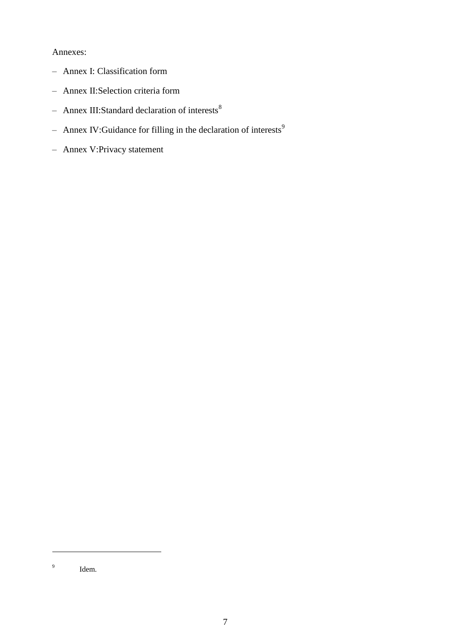#### Annexes:

- Annex I: Classification form
- Annex II:Selection criteria form
- Annex III:Standard declaration of interests $8$
- Annex IV:Guidance for filling in the declaration of interests<sup>9</sup>
- Annex V:Privacy statement

 $\overline{a}$ 

<sup>9</sup> Idem.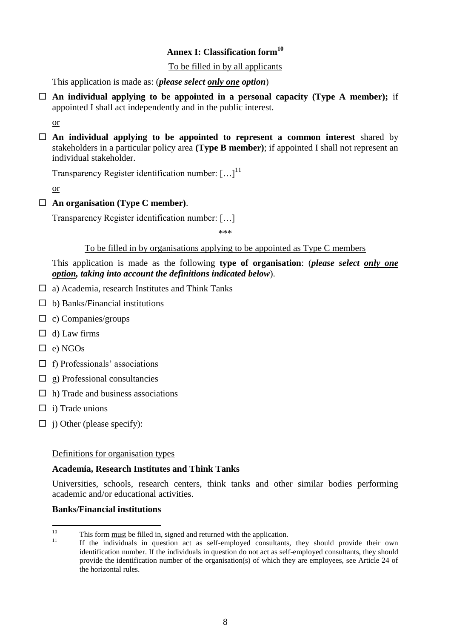# **Annex I: Classification form<sup>10</sup>**

#### To be filled in by all applicants

This application is made as: (*please select only one option*)

 $\Box$  An individual applying to be appointed in a personal capacity (Type A member); if appointed I shall act independently and in the public interest.

or

 **An individual applying to be appointed to represent a common interest** shared by stakeholders in a particular policy area **(Type B member)**; if appointed I shall not represent an individual stakeholder.

Transparency Register identification number:  $[\dots]^{11}$ 

or

#### **An organisation (Type C member)**.

Transparency Register identification number: […]

\*\*\*

#### To be filled in by organisations applying to be appointed as Type C members

### This application is made as the following **type of organisation**: (*please select only one option, taking into account the definitions indicated below*).

- $\Box$  a) Academia, research Institutes and Think Tanks
- $\Box$  b) Banks/Financial institutions
- $\Box$  c) Companies/groups
- $\Box$  d) Law firms
- $\Box$  e) NGOs
- $\Box$  f) Professionals' associations
- $\Box$  g) Professional consultancies
- $\Box$  h) Trade and business associations
- $\Box$  i) Trade unions
- $\Box$  j) Other (please specify):

#### Definitions for organisation types

### **Academia, Research Institutes and Think Tanks**

Universities, schools, research centers, think tanks and other similar bodies performing academic and/or educational activities.

#### **Banks/Financial institutions**

 $\frac{1}{10}$  $T_{\text{min}}$  This form <u>must</u> be filled in, signed and returned with the application.

<sup>11</sup> If the individuals in question act as self-employed consultants, they should provide their own identification number. If the individuals in question do not act as self-employed consultants, they should provide the identification number of the organisation(s) of which they are employees, see Article 24 of the horizontal rules.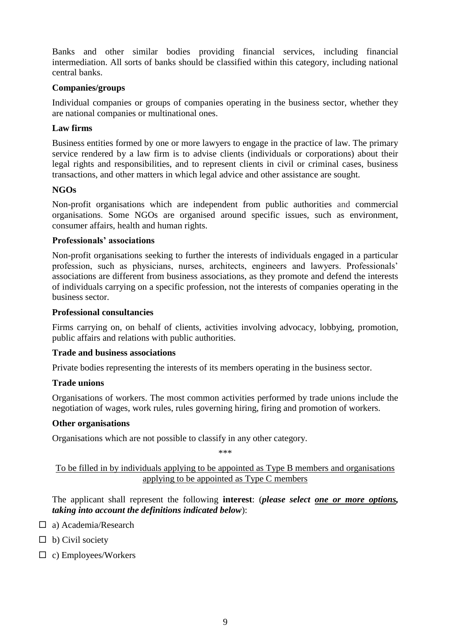Banks and other similar bodies providing financial services, including financial intermediation. All sorts of banks should be classified within this category, including national central banks.

#### **Companies/groups**

Individual companies or groups of companies operating in the business sector, whether they are national companies or multinational ones.

### **Law firms**

Business entities formed by one or more lawyers to engage in the practice of law. The primary service rendered by a law firm is to advise clients (individuals or corporations) about their legal rights and responsibilities, and to represent clients in civil or criminal cases, business transactions, and other matters in which legal advice and other assistance are sought.

#### **NGOs**

Non-profit organisations which are independent from public authorities and commercial organisations. Some NGOs are organised around specific issues, such as environment, consumer affairs, health and human rights.

#### **Professionals' associations**

Non-profit organisations seeking to further the interests of individuals engaged in a particular profession, such as physicians, nurses, architects, engineers and lawyers. Professionals' associations are different from business associations, as they promote and defend the interests of individuals carrying on a specific profession, not the interests of companies operating in the business sector.

#### **Professional consultancies**

Firms carrying on, on behalf of clients, activities involving advocacy, lobbying, promotion, public affairs and relations with public authorities.

#### **Trade and business associations**

Private bodies representing the interests of its members operating in the business sector.

#### **Trade unions**

Organisations of workers. The most common activities performed by trade unions include the negotiation of [wages,](https://en.wikipedia.org/wiki/Wage) work rules, rules governing hiring, firing and promotion of workers.

#### **Other organisations**

Organisations which are not possible to classify in any other category.

\*\*\*

# To be filled in by individuals applying to be appointed as Type B members and organisations applying to be appointed as Type C members

The applicant shall represent the following **interest**: (*please select one or more options, taking into account the definitions indicated below*):

- □ a) Academia/Research
- $\Box$  b) Civil society
- $\Box$  c) Employees/Workers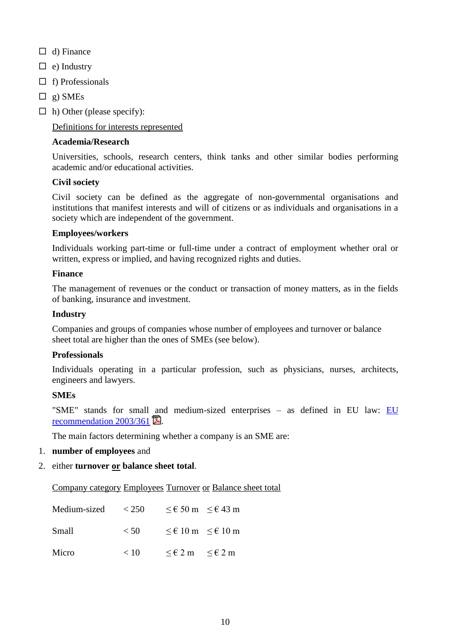- $\Box$  d) Finance
- $\Box$  e) Industry
- $\Box$  f) Professionals
- $\Box$  g) SMEs
- $\Box$  h) Other (please specify):

#### Definitions for interests represented

#### **Academia/Research**

Universities, schools, research centers, think tanks and other similar bodies performing academic and/or educational activities.

#### **Civil society**

Civil society can be defined as the aggregate of non-governmental organisations and institutions that manifest interests and will of citizens or as individuals and organisations in a society which are independent of the government.

#### **Employees/workers**

Individuals working part-time or full-time under a contract of employment whether oral or written, express or implied, and having recognized rights and duties.

#### **Finance**

The management of revenues or the conduct or transaction of money matters, as in the fields of banking, insurance and investment.

#### **Industry**

Companies and groups of companies whose number of employees and turnover or balance sheet total are higher than the ones of SMEs (see below).

#### **Professionals**

Individuals operating in a particular profession, such as physicians, nurses, architects, engineers and lawyers.

#### **SMEs**

"SME" stands for small and medium-sized enterprises - as defined in [EU](http://eur-lex.europa.eu/LexUriServ/LexUriServ.do?uri=OJ:L:2003:124:0036:0041:EN:PDF) law: EU recommendation  $2003/361$  .

The main factors determining whether a company is an SME are:

1. **number of employees** and

#### 2. either **turnover or balance sheet total**.

Company category Employees Turnover or Balance sheet total

| Medium-sized | < 250  |                                         | $\leq \text{\textsterling} 50 \text{ m}$ $\leq \text{\textsterling} 43 \text{ m}$ |
|--------------|--------|-----------------------------------------|-----------------------------------------------------------------------------------|
| Small        | $<$ 50 |                                         | $\leq \epsilon$ 10 m $\leq \epsilon$ 10 m                                         |
| Micro        | < 10   | $\leq \epsilon 2$ m $\leq \epsilon 2$ m |                                                                                   |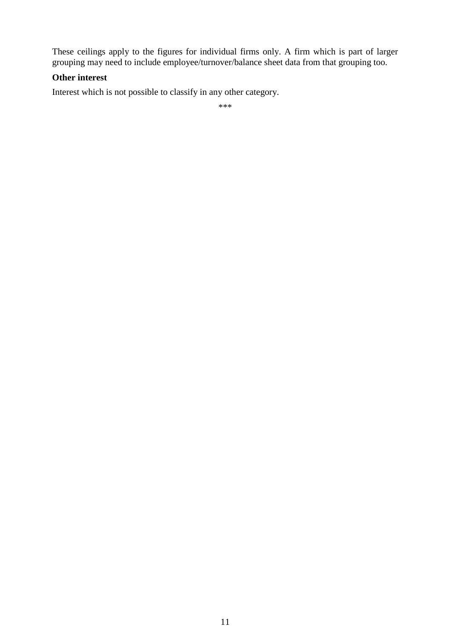These ceilings apply to the figures for individual firms only. A firm which is part of larger grouping may need to include employee/turnover/balance sheet data from that grouping too.

### **Other interest**

Interest which is not possible to classify in any other category.

\*\*\*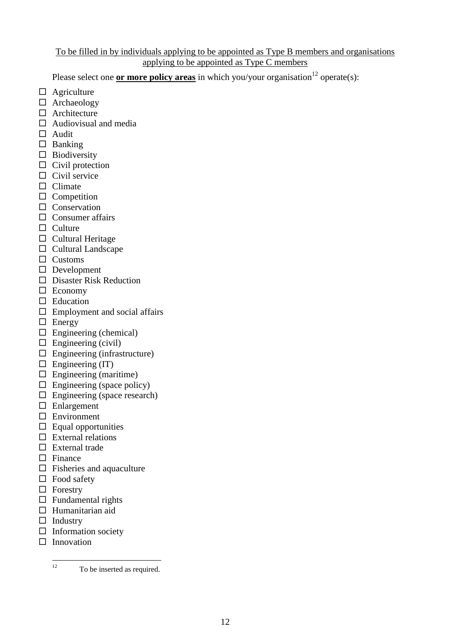# To be filled in by individuals applying to be appointed as Type B members and organisations applying to be appointed as Type C members

Please select one **or more policy areas** in which you/your organisation<sup>12</sup> operate(s):

- $\Box$  Agriculture
- □ Archaeology
- $\Box$  Architecture
- $\Box$  Audiovisual and media
- □ Audit
- $\square$  Banking
- $\square$  Biodiversity
- $\Box$  Civil protection
- $\Box$  Civil service
- $\Box$  Climate
- $\Box$  Competition
- **Conservation**
- $\Box$  Consumer affairs
- $\Box$  Culture
- $\Box$  Cultural Heritage
- $\Box$  Cultural Landscape
- $\Box$  Customs
- Development
- □ Disaster Risk Reduction
- $\Box$  Economy
- □ Education
- $\Box$  Employment and social affairs
- $\Box$  Energy
- $\Box$  Engineering (chemical)
- $\square$  Engineering (civil)
- $\Box$  Engineering (infrastructure)
- $\Box$  Engineering (IT)
- $\square$  Engineering (maritime)
- $\Box$  Engineering (space policy)
- $\Box$  Engineering (space research)
- □ Enlargement
- □ Environment
- $\Box$  Equal opportunities
- $\square$  External relations
- $\square$  External trade
- $\Box$  Finance
- $\Box$  Fisheries and aquaculture
- $\Box$  Food safety
- $\Box$  Forestry
- $\square$  Fundamental rights
- $\Box$  Humanitarian aid
- $\Box$  Industry
- $\Box$  Information society
- $\square$  Innovation

 $12$ To be inserted as required.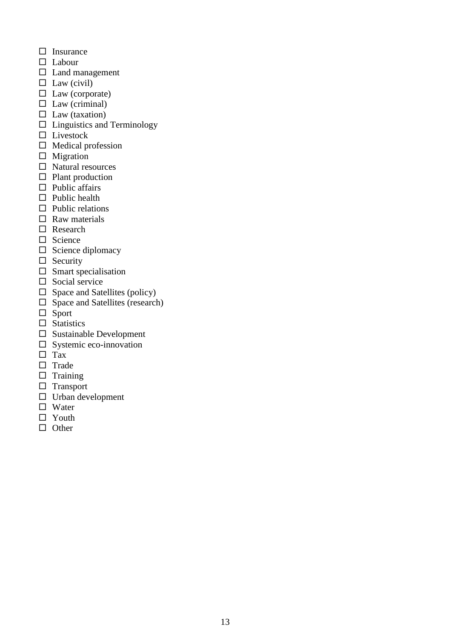- $\square$  Insurance
- Labour
- $\square$  Land management
- $\Box$  Law (civil)
- $\square$  Law (corporate)
- $\Box$  Law (criminal)
- $\Box$  Law (taxation)
- $\square$  Linguistics and Terminology
- □ Livestock
- $\Box$  Medical profession
- $\Box$  Migration
- $\square$  Natural resources
- $\Box$  Plant production
- $\Box$  Public affairs
- $\Box$  Public health
- $\Box$  Public relations
- $\Box$  Raw materials
- □ Research
- $\Box$  Science
- $\square$  Science diplomacy
- $\Box$  Security
- $\square$  Smart specialisation
- $\Box$  Social service
- $\Box$  Space and Satellites (policy)
- $\square$  Space and Satellites (research)
- $\Box$  Sport
- $\square$  Statistics
- $\square$  Sustainable Development
- $\square$  Systemic eco-innovation
- $\square$  Tax
- $\Box$  Trade
- $\Box$  Training
- $\Box$  Transport
- $\Box$  Urban development
- □ Water
- □ Youth
- $\Box$  Other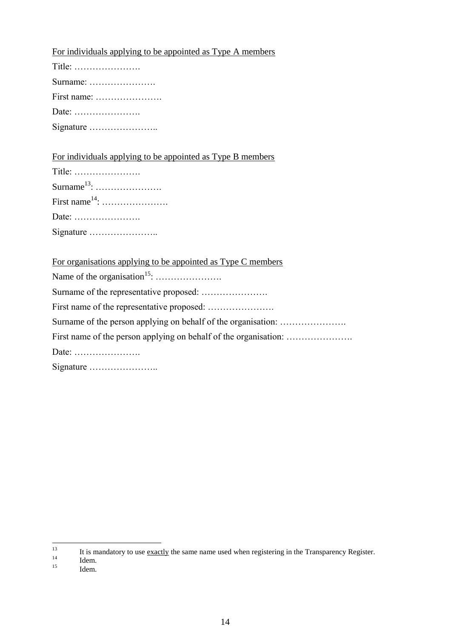| For individuals applying to be appointed as Type A members |  |
|------------------------------------------------------------|--|
| Title: $\dots\dots\dots\dots\dots\dots\dots\dots$          |  |
| Surname: $\dots\dots\dots\dots\dots\dots\dots$             |  |
| First name:                                                |  |
|                                                            |  |
|                                                            |  |

For individuals applying to be appointed as Type B members

| For organisations applying to be appointed as Type C members |
|--------------------------------------------------------------|
|                                                              |
|                                                              |
|                                                              |
|                                                              |
|                                                              |
|                                                              |
|                                                              |

 $13$  $\frac{13}{14}$  It is mandatory to use <u>exactly</u> the same name used when registering in the Transparency Register.

- $14$  Idem.
- Idem.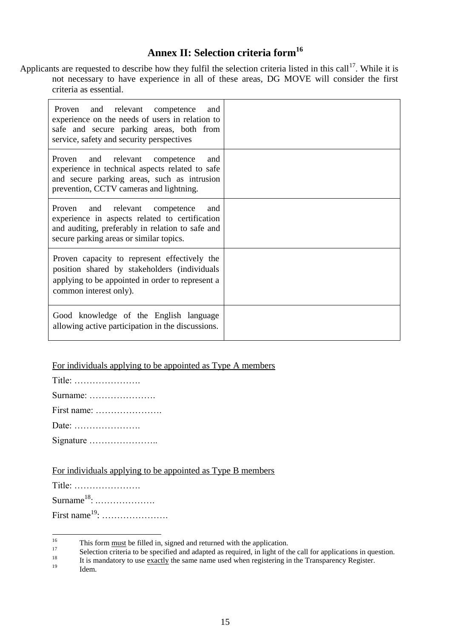# **Annex II: Selection criteria form<sup>16</sup>**

Applicants are requested to describe how they fulfil the selection criteria listed in this call<sup>17</sup>. While it is not necessary to have experience in all of these areas, DG MOVE will consider the first criteria as essential.

| Proven and relevant competence<br>and<br>experience on the needs of users in relation to<br>safe and secure parking areas, both from<br>service, safety and security perspectives      |  |
|----------------------------------------------------------------------------------------------------------------------------------------------------------------------------------------|--|
| Proven and relevant competence<br>and<br>experience in technical aspects related to safe<br>and secure parking areas, such as intrusion<br>prevention, CCTV cameras and lightning.     |  |
| Proven and relevant competence<br>and<br>experience in aspects related to certification<br>and auditing, preferably in relation to safe and<br>secure parking areas or similar topics. |  |
| Proven capacity to represent effectively the<br>position shared by stakeholders (individuals<br>applying to be appointed in order to represent a<br>common interest only).             |  |
| Good knowledge of the English language<br>allowing active participation in the discussions.                                                                                            |  |

# For individuals applying to be appointed as Type A members

| Title: $\dots\dots\dots\dots\dots\dots\dots\dots$ |
|---------------------------------------------------|
| Surname:                                          |
|                                                   |
|                                                   |
|                                                   |

| For individuals applying to be appointed as Type B members |  |  |  |  |
|------------------------------------------------------------|--|--|--|--|
|                                                            |  |  |  |  |

| Title: $\dots\dots\dots\dots\dots\dots\dots\dots$ |
|---------------------------------------------------|
| Surname <sup>18</sup> :                           |
| First name <sup>19</sup> :                        |

Idem.

 16 <sup>16</sup> This form <u>must</u> be filled in, signed and returned with the application.

<sup>&</sup>lt;sup>17</sup> Selection criteria to be specified and adapted as required, in light of the call for applications in question.<br><sup>18</sup> It is mondate with use a weakly the same name used when posistering in the Transparague Bosister.

<sup>&</sup>lt;sup>18</sup> It is mandatory to use exactly the same name used when registering in the Transparency Register.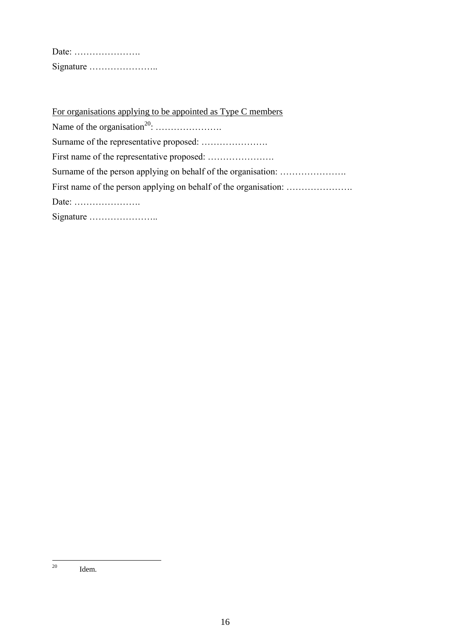| Date: $\dots\dots\dots\dots\dots\dots\dots\dots$ |  |  |  |  |  |  |  |  |  |
|--------------------------------------------------|--|--|--|--|--|--|--|--|--|
| Signature                                        |  |  |  |  |  |  |  |  |  |

For organisations applying to be appointed as Type C members Name of the organisation<sup>20</sup>: …………………. Surname of the representative proposed: …………………. First name of the representative proposed: …………………. Surname of the person applying on behalf of the organisation: .................... First name of the person applying on behalf of the organisation: …………………. Date: …………………. Signature …………………..

<sup>20</sup> Idem.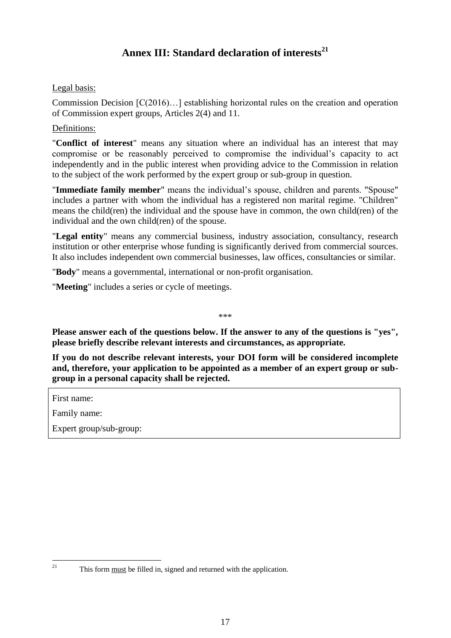# **Annex III: Standard declaration of interests<sup>21</sup>**

# Legal basis:

Commission Decision [C(2016)…] establishing horizontal rules on the creation and operation of Commission expert groups, Articles 2(4) and 11.

#### Definitions:

"**Conflict of interest**" means any situation where an individual has an interest that may compromise or be reasonably perceived to compromise the individual's capacity to act independently and in the public interest when providing advice to the Commission in relation to the subject of the work performed by the expert group or sub-group in question.

"**Immediate family member**" means the individual's spouse, children and parents. "Spouse" includes a partner with whom the individual has a registered non marital regime. "Children" means the child(ren) the individual and the spouse have in common, the own child(ren) of the individual and the own child(ren) of the spouse.

"**Legal entity**" means any commercial business, industry association, consultancy, research institution or other enterprise whose funding is significantly derived from commercial sources. It also includes independent own commercial businesses, law offices, consultancies or similar.

"**Body**" means a governmental, international or non-profit organisation.

"**Meeting**" includes a series or cycle of meetings.

\*\*\*

**Please answer each of the questions below. If the answer to any of the questions is "yes", please briefly describe relevant interests and circumstances, as appropriate.** 

**If you do not describe relevant interests, your DOI form will be considered incomplete and, therefore, your application to be appointed as a member of an expert group or subgroup in a personal capacity shall be rejected.**

First name:

Family name:

Expert group/sub-group:

 $\frac{1}{21}$ 

This form must be filled in, signed and returned with the application.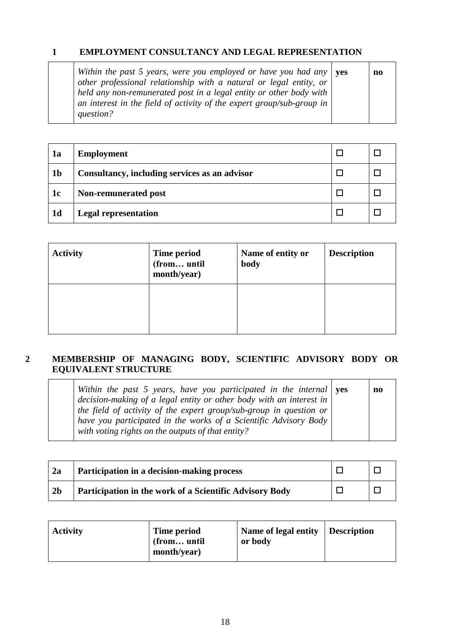# **1 EMPLOYMENT CONSULTANCY AND LEGAL REPRESENTATION**

| Within the past 5 years, were you employed or have you had any $\vert$ yes<br>other professional relationship with a natural or legal entity, or | no |
|--------------------------------------------------------------------------------------------------------------------------------------------------|----|
| held any non-remunerated post in a legal entity or other body with                                                                               |    |
| an interest in the field of activity of the expert group/sub-group in<br>question?                                                               |    |

| 1a             | <b>Employment</b>                             |  |
|----------------|-----------------------------------------------|--|
| 1 <sub>b</sub> | Consultancy, including services as an advisor |  |
| 1c             | Non-remunerated post                          |  |
| 1 <sub>d</sub> | <b>Legal representation</b>                   |  |

| <b>Activity</b> | Time period<br>(from until<br>month/year) | Name of entity or<br>body | <b>Description</b> |  |  |  |
|-----------------|-------------------------------------------|---------------------------|--------------------|--|--|--|
|                 |                                           |                           |                    |  |  |  |

# **2 MEMBERSHIP OF MANAGING BODY, SCIENTIFIC ADVISORY BODY OR EQUIVALENT STRUCTURE**

*Within the past 5 years, have you participated in the internal decision-making of a legal entity or other body with an interest in the field of activity of the expert group/sub-group in question or have you participated in the works of a Scientific Advisory Body with voting rights on the outputs of that entity?* **yes no**

| 2a             | Participation in a decision-making process              |  |
|----------------|---------------------------------------------------------|--|
| 2 <sub>b</sub> | Participation in the work of a Scientific Advisory Body |  |

| <b>Activity</b> | Time period<br>(from until<br>month/year) | Name of legal entity   Description<br>or body |  |
|-----------------|-------------------------------------------|-----------------------------------------------|--|
|-----------------|-------------------------------------------|-----------------------------------------------|--|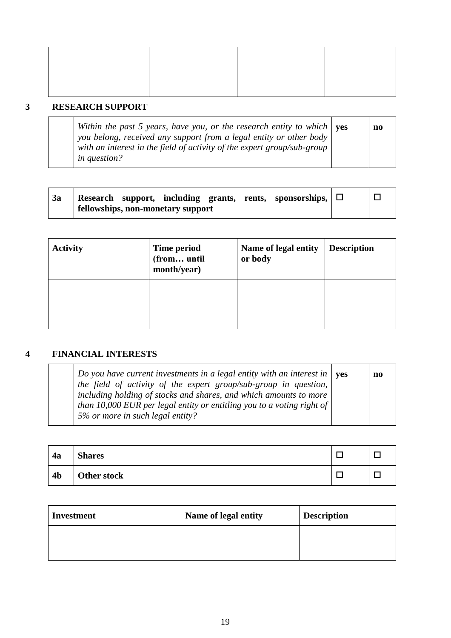# **3 RESEARCH SUPPORT**

| Within the past 5 years, have you, or the research entity to which $\vert$ yes | no |
|--------------------------------------------------------------------------------|----|
| you belong, received any support from a legal entity or other body             |    |
| with an interest in the field of activity of the expert group/sub-group        |    |
| <i>in question?</i>                                                            |    |

| 3a |  |                                          |  | Research support, including grants, rents, sponsorships, $\Box$ |  |
|----|--|------------------------------------------|--|-----------------------------------------------------------------|--|
|    |  | <b>fellowships, non-monetary support</b> |  |                                                                 |  |

| <b>Activity</b> | Time period<br>(from until<br>month/year) | Name of legal entity<br>or body | <b>Description</b> |
|-----------------|-------------------------------------------|---------------------------------|--------------------|
|                 |                                           |                                 |                    |

# **4 FINANCIAL INTERESTS**

| Do you have current investments in a legal entity with an interest in $\vert$ yes<br>the field of activity of the expert group/sub-group in question, $\vert$                   | n0 |
|---------------------------------------------------------------------------------------------------------------------------------------------------------------------------------|----|
| including holding of stocks and shares, and which amounts to more<br>than 10,000 EUR per legal entity or entitling you to a voting right of<br>5% or more in such legal entity? |    |

| 4a             | <b>Shares</b> |  |
|----------------|---------------|--|
| 4 <sub>b</sub> | Other stock   |  |

| <b>Investment</b> | Name of legal entity | <b>Description</b> |
|-------------------|----------------------|--------------------|
|                   |                      |                    |
|                   |                      |                    |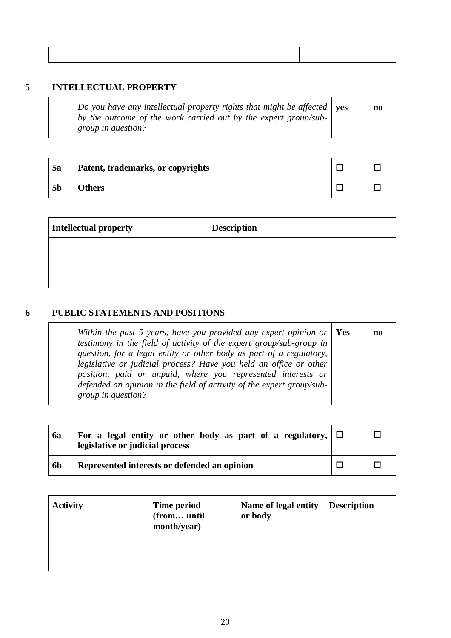# **5 INTELLECTUAL PROPERTY**

| Do you have any intellectual property rights that might be affected $\vert$ ves<br>$\vert$ by the outcome of the work carried out by the expert group/sub-<br><i>group in question?</i> | no |
|-----------------------------------------------------------------------------------------------------------------------------------------------------------------------------------------|----|
|                                                                                                                                                                                         |    |

| 5a             | Patent, trademarks, or copyrights |  |
|----------------|-----------------------------------|--|
| 5 <sub>b</sub> | <b>Others</b>                     |  |

| <b>Intellectual property</b> | <b>Description</b> |
|------------------------------|--------------------|
|                              |                    |
|                              |                    |
|                              |                    |

# **6 PUBLIC STATEMENTS AND POSITIONS**

|                                                                                                                                                                                                                                                                                                                                                          | no                                                                       |
|----------------------------------------------------------------------------------------------------------------------------------------------------------------------------------------------------------------------------------------------------------------------------------------------------------------------------------------------------------|--------------------------------------------------------------------------|
|                                                                                                                                                                                                                                                                                                                                                          |                                                                          |
|                                                                                                                                                                                                                                                                                                                                                          |                                                                          |
|                                                                                                                                                                                                                                                                                                                                                          |                                                                          |
|                                                                                                                                                                                                                                                                                                                                                          |                                                                          |
|                                                                                                                                                                                                                                                                                                                                                          |                                                                          |
|                                                                                                                                                                                                                                                                                                                                                          |                                                                          |
| testimony in the field of activity of the expert group/sub-group in<br>question, for a legal entity or other body as part of a regulatory,<br>legislative or judicial process? Have you held an office or other<br>position, paid or unpaid, where you represented interests or<br>defended an opinion in the field of activity of the expert group/sub- | Within the past 5 years, have you provided any expert opinion or $ $ Yes |

| 6a             | For a legal entity or other body as part of a regulatory, $\Box$<br>legislative or judicial process |  |
|----------------|-----------------------------------------------------------------------------------------------------|--|
| 6 <sub>b</sub> | Represented interests or defended an opinion                                                        |  |

| <b>Activity</b> | Time period<br>(from until<br>month/year) | Name of legal entity<br>or body | <b>Description</b> |
|-----------------|-------------------------------------------|---------------------------------|--------------------|
|                 |                                           |                                 |                    |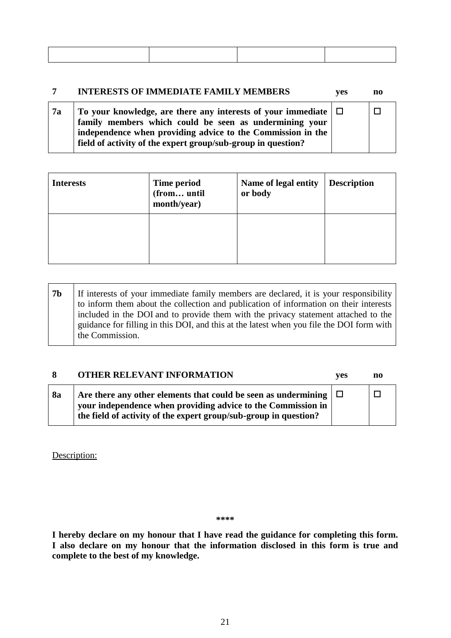|           | <b>INTERESTS OF IMMEDIATE FAMILY MEMBERS</b>                                                                                                                                                                                                                 | <b>ves</b> | no |
|-----------|--------------------------------------------------------------------------------------------------------------------------------------------------------------------------------------------------------------------------------------------------------------|------------|----|
| <b>7a</b> | To your knowledge, are there any interests of your immediate $\Box$<br>family members which could be seen as undermining your<br>independence when providing advice to the Commission in the<br>field of activity of the expert group/sub-group in question? |            |    |

| <b>Interests</b> | Time period<br>(from until<br>month/year) | Name of legal entity<br>or body | <b>Description</b> |
|------------------|-------------------------------------------|---------------------------------|--------------------|
|                  |                                           |                                 |                    |

| <b>7b</b> | If interests of your immediate family members are declared, it is your responsibility    |
|-----------|------------------------------------------------------------------------------------------|
|           | to inform them about the collection and publication of information on their interests    |
|           | included in the DOI and to provide them with the privacy statement attached to the       |
|           | guidance for filling in this DOI, and this at the latest when you file the DOI form with |
|           | the Commission.                                                                          |

|    | <b>OTHER RELEVANT INFORMATION</b>                                                                                                                                                                          | ves | no |
|----|------------------------------------------------------------------------------------------------------------------------------------------------------------------------------------------------------------|-----|----|
| 8a | Are there any other elements that could be seen as undermining $ \Box$<br>your independence when providing advice to the Commission in<br>the field of activity of the expert group/sub-group in question? |     |    |

Description:

**\*\*\*\***

**I hereby declare on my honour that I have read the guidance for completing this form. I also declare on my honour that the information disclosed in this form is true and complete to the best of my knowledge.**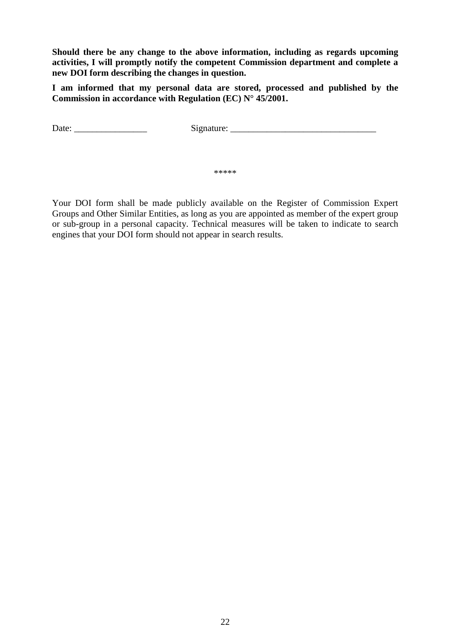**Should there be any change to the above information, including as regards upcoming activities, I will promptly notify the competent Commission department and complete a new DOI form describing the changes in question.**

**I am informed that my personal data are stored, processed and published by the Commission in accordance with Regulation (EC) N° 45/2001.**

Date: \_\_\_\_\_\_\_\_\_\_\_\_\_\_\_\_ Signature: \_\_\_\_\_\_\_\_\_\_\_\_\_\_\_\_\_\_\_\_\_\_\_\_\_\_\_\_\_\_\_\_

\*\*\*\*\*

Your DOI form shall be made publicly available on the Register of Commission Expert Groups and Other Similar Entities, as long as you are appointed as member of the expert group or sub-group in a personal capacity. Technical measures will be taken to indicate to search engines that your DOI form should not appear in search results.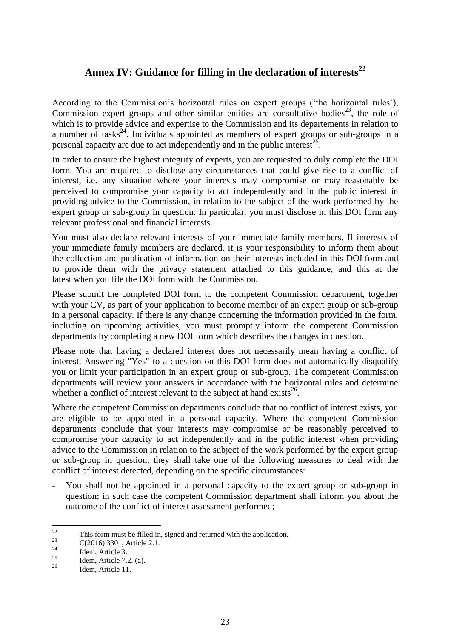# **Annex IV: Guidance for filling in the declaration of interests<sup>22</sup>**

According to the Commission's horizontal rules on expert groups ('the horizontal rules'), Commission expert groups and other similar entities are consultative bodies<sup>23</sup>, the role of which is to provide advice and expertise to the Commission and its departements in relation to a number of tasks<sup>24</sup>. Individuals appointed as members of expert groups or sub-groups in a personal capacity are due to act independently and in the public interest<sup>25</sup>.

In order to ensure the highest integrity of experts, you are requested to duly complete the DOI form. You are required to disclose any circumstances that could give rise to a conflict of interest, i.e. any situation where your interests may compromise or may reasonably be perceived to compromise your capacity to act independently and in the public interest in providing advice to the Commission, in relation to the subject of the work performed by the expert group or sub-group in question. In particular, you must disclose in this DOI form any relevant professional and financial interests.

You must also declare relevant interests of your immediate family members. If interests of your immediate family members are declared, it is your responsibility to inform them about the collection and publication of information on their interests included in this DOI form and to provide them with the privacy statement attached to this guidance, and this at the latest when you file the DOI form with the Commission.

Please submit the completed DOI form to the competent Commission department, together with your CV, as part of your application to become member of an expert group or sub-group in a personal capacity. If there is any change concerning the information provided in the form, including on upcoming activities, you must promptly inform the competent Commission departments by completing a new DOI form which describes the changes in question.

Please note that having a declared interest does not necessarily mean having a conflict of interest. Answering "Yes" to a question on this DOI form does not automatically disqualify you or limit your participation in an expert group or sub-group. The competent Commission departments will review your answers in accordance with the horizontal rules and determine whether a conflict of interest relevant to the subject at hand exists $^{26}$ .

Where the competent Commission departments conclude that no conflict of interest exists, you are eligible to be appointed in a personal capacity. Where the competent Commission departments conclude that your interests may compromise or be reasonably perceived to compromise your capacity to act independently and in the public interest when providing advice to the Commission in relation to the subject of the work performed by the expert group or sub-group in question, they shall take one of the following measures to deal with the conflict of interest detected, depending on the specific circumstances:

- You shall not be appointed in a personal capacity to the expert group or sub-group in question; in such case the competent Commission department shall inform you about the outcome of the conflict of interest assessment performed;

 $\frac{1}{22}$ <sup>22</sup> This form <u>must</u> be filled in, signed and returned with the application.

<sup>&</sup>lt;sup>23</sup> C(2016) 3301, Article 2.1.

 $\frac{24}{25}$  Idem, Article 3.

<sup>&</sup>lt;sup>25</sup> Idem, Article 7.2. (a).

Idem, Article 11.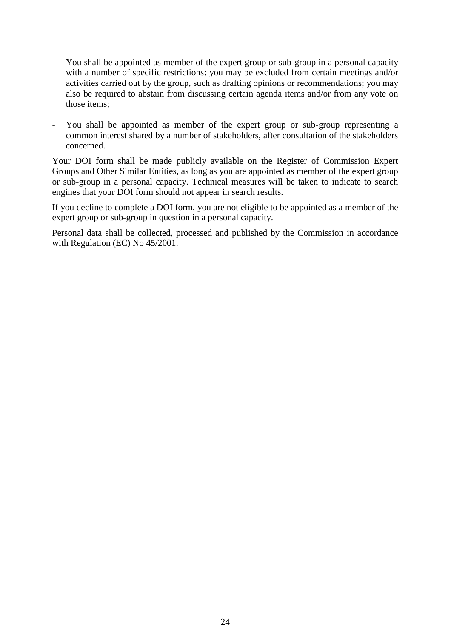- You shall be appointed as member of the expert group or sub-group in a personal capacity with a number of specific restrictions: you may be excluded from certain meetings and/or activities carried out by the group, such as drafting opinions or recommendations; you may also be required to abstain from discussing certain agenda items and/or from any vote on those items;
- You shall be appointed as member of the expert group or sub-group representing a common interest shared by a number of stakeholders, after consultation of the stakeholders concerned.

Your DOI form shall be made publicly available on the Register of Commission Expert Groups and Other Similar Entities, as long as you are appointed as member of the expert group or sub-group in a personal capacity. Technical measures will be taken to indicate to search engines that your DOI form should not appear in search results.

If you decline to complete a DOI form, you are not eligible to be appointed as a member of the expert group or sub-group in question in a personal capacity.

Personal data shall be collected, processed and published by the Commission in accordance with Regulation (EC) No 45/2001.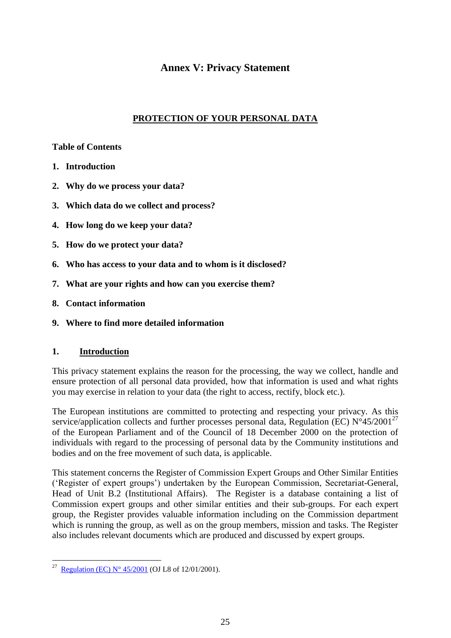# **Annex V: Privacy Statement**

# **PROTECTION OF YOUR PERSONAL DATA**

### **Table of Contents**

- **1. Introduction**
- **2. Why do we process your data?**
- **3. Which data do we collect and process?**
- **4. How long do we keep your data?**
- **5. How do we protect your data?**
- **6. Who has access to your data and to whom is it disclosed?**
- **7. What are your rights and how can you exercise them?**
- **8. Contact information**
- **9. Where to find more detailed information**

# **1. Introduction**

This privacy statement explains the reason for the processing, the way we collect, handle and ensure protection of all personal data provided, how that information is used and what rights you may exercise in relation to your data (the right to access, rectify, block etc.).

The European institutions are committed to protecting and respecting your privacy. As this service/application collects and further processes personal data, Regulation (EC)  $N^{\circ}45/2001^{27}$ of the European Parliament and of the Council of 18 December 2000 on the protection of individuals with regard to the processing of personal data by the Community institutions and bodies and on the free movement of such data, is applicable.

This statement concerns the Register of Commission Expert Groups and Other Similar Entities ('Register of expert groups') undertaken by the European Commission, Secretariat-General, Head of Unit B.2 (Institutional Affairs). The Register is a database containing a list of Commission expert groups and other similar entities and their sub-groups. For each expert group, the Register provides valuable information including on the Commission department which is running the group, as well as on the group members, mission and tasks. The Register also includes relevant documents which are produced and discussed by expert groups.

<sup>&</sup>lt;sup>27</sup> [Regulation \(EC\) N° 45/2001](http://eur-lex.europa.eu/legal-content/EN/ALL/?uri=CELEX:32001R0045) (OJ L8 of 12/01/2001).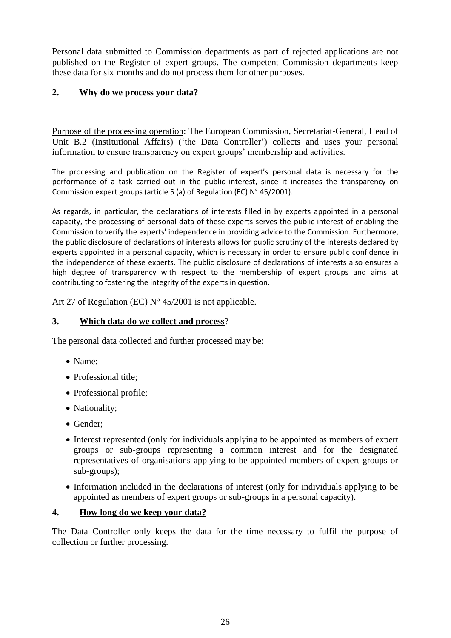Personal data submitted to Commission departments as part of rejected applications are not published on the Register of expert groups. The competent Commission departments keep these data for six months and do not process them for other purposes.

# **2. Why do we process your data?**

Purpose of the processing operation: The European Commission, Secretariat-General, Head of Unit B.2 (Institutional Affairs) ('the Data Controller') collects and uses your personal information to ensure transparency on expert groups' membership and activities.

The processing and publication on the Register of expert's personal data is necessary for the performance of a task carried out in the public interest, since it increases the transparency on Commission expert groups (article 5 (a) of Regulation (EC) N° 45/2001).

As regards, in particular, the declarations of interests filled in by experts appointed in a personal capacity, the processing of personal data of these experts serves the public interest of enabling the Commission to verify the experts' independence in providing advice to the Commission. Furthermore, the public disclosure of declarations of interests allows for public scrutiny of the interests declared by experts appointed in a personal capacity, which is necessary in order to ensure public confidence in the independence of these experts. The public disclosure of declarations of interests also ensures a high degree of transparency with respect to the membership of expert groups and aims at contributing to fostering the integrity of the experts in question.

Art 27 of Regulation (EC)  $N^{\circ}$  45/2001 is not applicable.

### **3. Which data do we collect and process**?

The personal data collected and further processed may be:

- Name:
- Professional title;
- Professional profile;
- Nationality;
- Gender:
- Interest represented (only for individuals applying to be appointed as members of expert groups or sub-groups representing a common interest and for the designated representatives of organisations applying to be appointed members of expert groups or sub-groups);
- Information included in the declarations of interest (only for individuals applying to be appointed as members of expert groups or sub-groups in a personal capacity).

#### **4. How long do we keep your data?**

The Data Controller only keeps the data for the time necessary to fulfil the purpose of collection or further processing.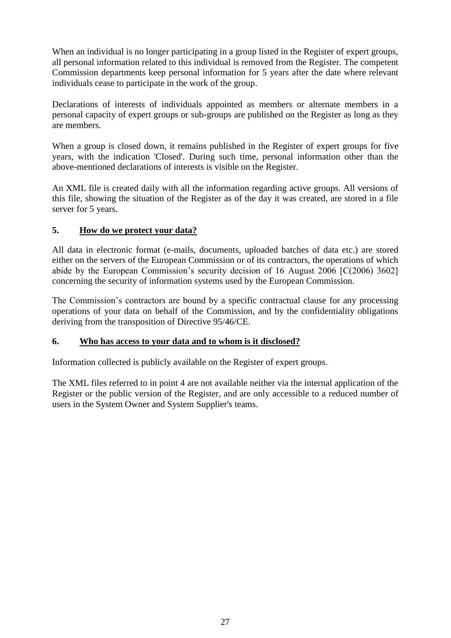When an individual is no longer participating in a group listed in the Register of expert groups, all personal information related to this individual is removed from the Register. The competent Commission departments keep personal information for 5 years after the date where relevant individuals cease to participate in the work of the group.

Declarations of interests of individuals appointed as members or alternate members in a personal capacity of expert groups or sub-groups are published on the Register as long as they are members.

When a group is closed down, it remains published in the Register of expert groups for five years, with the indication 'Closed'. During such time, personal information other than the above-mentioned declarations of interests is visible on the Register.

An XML file is created daily with all the information regarding active groups. All versions of this file, showing the situation of the Register as of the day it was created, are stored in a file server for 5 years.

# **5. How do we protect your data?**

All data in electronic format (e-mails, documents, uploaded batches of data etc.) are stored either on the servers of the European Commission or of its contractors, the operations of which abide by the European Commission's security decision of 16 August 2006 [C(2006) 3602] concerning the security of information systems used by the European Commission.

The Commission's contractors are bound by a specific contractual clause for any processing operations of your data on behalf of the Commission, and by the confidentiality obligations deriving from the transposition of Directive 95/46/CE.

# **6. Who has access to your data and to whom is it disclosed?**

Information collected is publicly available on the Register of expert groups.

The XML files referred to in point 4 are not available neither via the internal application of the Register or the public version of the Register, and are only accessible to a reduced number of users in the System Owner and System Supplier's teams.